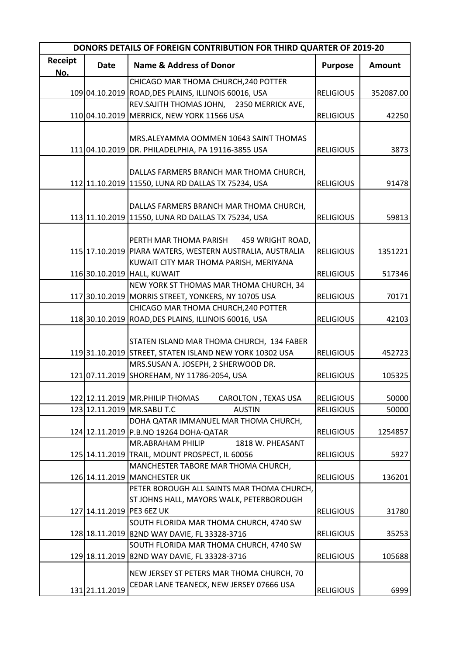| <b>DONORS DETAILS OF FOREIGN CONTRIBUTION FOR THIRD QUARTER OF 2019-20</b> |                |                                                           |                  |           |  |  |
|----------------------------------------------------------------------------|----------------|-----------------------------------------------------------|------------------|-----------|--|--|
| Receipt<br>No.                                                             | <b>Date</b>    | <b>Name &amp; Address of Donor</b>                        | <b>Purpose</b>   | Amount    |  |  |
|                                                                            |                | CHICAGO MAR THOMA CHURCH, 240 POTTER                      |                  |           |  |  |
|                                                                            |                | 109 04.10.2019 ROAD, DES PLAINS, ILLINOIS 60016, USA      | <b>RELIGIOUS</b> | 352087.00 |  |  |
|                                                                            |                | REV.SAJITH THOMAS JOHN, 2350 MERRICK AVE,                 |                  |           |  |  |
|                                                                            |                | 110 04.10.2019 MERRICK, NEW YORK 11566 USA                | <b>RELIGIOUS</b> | 42250     |  |  |
|                                                                            |                |                                                           |                  |           |  |  |
|                                                                            |                | MRS.ALEYAMMA OOMMEN 10643 SAINT THOMAS                    |                  |           |  |  |
|                                                                            |                | 111 04.10.2019 DR. PHILADELPHIA, PA 19116-3855 USA        | <b>RELIGIOUS</b> | 3873      |  |  |
|                                                                            |                |                                                           |                  |           |  |  |
|                                                                            |                | DALLAS FARMERS BRANCH MAR THOMA CHURCH,                   |                  |           |  |  |
|                                                                            |                | 112 11.10.2019 11550, LUNA RD DALLAS TX 75234, USA        | <b>RELIGIOUS</b> | 91478     |  |  |
|                                                                            |                |                                                           |                  |           |  |  |
|                                                                            |                | DALLAS FARMERS BRANCH MAR THOMA CHURCH,                   |                  |           |  |  |
|                                                                            |                | 113 11.10.2019 11550, LUNA RD DALLAS TX 75234, USA        | <b>RELIGIOUS</b> | 59813     |  |  |
|                                                                            |                |                                                           |                  |           |  |  |
|                                                                            |                | PERTH MAR THOMA PARISH<br>459 WRIGHT ROAD,                |                  |           |  |  |
|                                                                            |                | 115 17.10.2019 PIARA WATERS, WESTERN AUSTRALIA, AUSTRALIA | <b>RELIGIOUS</b> | 1351221   |  |  |
|                                                                            |                | KUWAIT CITY MAR THOMA PARISH, MERIYANA                    |                  |           |  |  |
|                                                                            |                | 116 30.10.2019 HALL, KUWAIT                               | <b>RELIGIOUS</b> | 517346    |  |  |
|                                                                            |                | NEW YORK ST THOMAS MAR THOMA CHURCH, 34                   |                  |           |  |  |
|                                                                            |                | 117 30.10.2019 MORRIS STREET, YONKERS, NY 10705 USA       | <b>RELIGIOUS</b> | 70171     |  |  |
|                                                                            |                | CHICAGO MAR THOMA CHURCH, 240 POTTER                      |                  |           |  |  |
|                                                                            |                | 118 30.10.2019 ROAD, DES PLAINS, ILLINOIS 60016, USA      | <b>RELIGIOUS</b> | 42103     |  |  |
|                                                                            |                |                                                           |                  |           |  |  |
|                                                                            |                | STATEN ISLAND MAR THOMA CHURCH, 134 FABER                 |                  |           |  |  |
|                                                                            |                | 119 31.10.2019 STREET, STATEN ISLAND NEW YORK 10302 USA   | <b>RELIGIOUS</b> | 452723    |  |  |
|                                                                            |                | MRS.SUSAN A. JOSEPH, 2 SHERWOOD DR.                       |                  |           |  |  |
|                                                                            |                | 121 07.11.2019 SHOREHAM, NY 11786-2054, USA               | <b>RELIGIOUS</b> | 105325    |  |  |
|                                                                            |                |                                                           |                  |           |  |  |
|                                                                            |                | 122 12.11.2019 MR. PHILIP THOMAS<br>CAROLTON, TEXAS USA   | <b>RELIGIOUS</b> | 50000     |  |  |
|                                                                            |                | 123 12.11.2019 MR.SABU T.C<br><b>AUSTIN</b>               | <b>RELIGIOUS</b> | 50000     |  |  |
|                                                                            |                | DOHA QATAR IMMANUEL MAR THOMA CHURCH,                     |                  |           |  |  |
|                                                                            |                | 124 12.11.2019 P.B.NO 19264 DOHA-QATAR                    | <b>RELIGIOUS</b> | 1254857   |  |  |
|                                                                            |                | MR.ABRAHAM PHILIP<br>1818 W. PHEASANT                     |                  |           |  |  |
|                                                                            |                | 125 14.11.2019 TRAIL, MOUNT PROSPECT, IL 60056            | <b>RELIGIOUS</b> | 5927      |  |  |
|                                                                            |                | MANCHESTER TABORE MAR THOMA CHURCH,                       |                  |           |  |  |
|                                                                            |                | 126 14.11.2019 MANCHESTER UK                              | <b>RELIGIOUS</b> | 136201    |  |  |
|                                                                            |                | PETER BOROUGH ALL SAINTS MAR THOMA CHURCH,                |                  |           |  |  |
|                                                                            |                | ST JOHNS HALL, MAYORS WALK, PETERBOROUGH                  |                  |           |  |  |
|                                                                            |                | 127 14.11.2019 PE3 6EZ UK                                 | <b>RELIGIOUS</b> | 31780     |  |  |
|                                                                            |                | SOUTH FLORIDA MAR THOMA CHURCH, 4740 SW                   |                  |           |  |  |
|                                                                            |                | 128 18.11.2019 82ND WAY DAVIE, FL 33328-3716              | <b>RELIGIOUS</b> | 35253     |  |  |
|                                                                            |                | SOUTH FLORIDA MAR THOMA CHURCH, 4740 SW                   |                  |           |  |  |
|                                                                            |                | 129 18.11.2019 82ND WAY DAVIE, FL 33328-3716              | <b>RELIGIOUS</b> | 105688    |  |  |
|                                                                            |                |                                                           |                  |           |  |  |
|                                                                            |                | NEW JERSEY ST PETERS MAR THOMA CHURCH, 70                 |                  |           |  |  |
|                                                                            | 131 21.11.2019 | CEDAR LANE TEANECK, NEW JERSEY 07666 USA                  | <b>RELIGIOUS</b> | 6999      |  |  |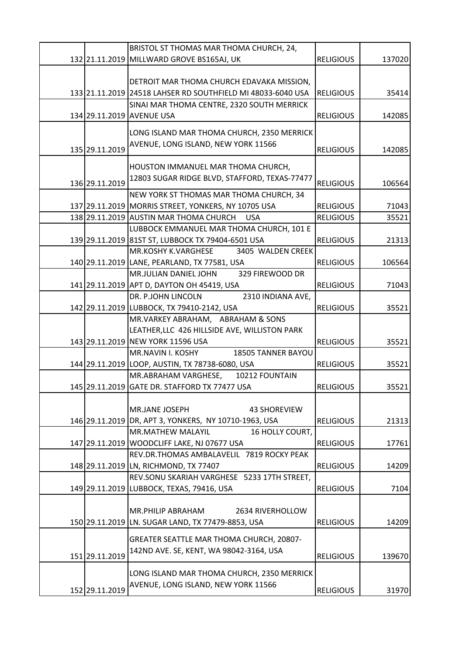|                | BRISTOL ST THOMAS MAR THOMA CHURCH, 24,                     |                  |        |
|----------------|-------------------------------------------------------------|------------------|--------|
|                | 132 21.11.2019 MILLWARD GROVE BS165AJ, UK                   | <b>RELIGIOUS</b> | 137020 |
|                |                                                             |                  |        |
|                | DETROIT MAR THOMA CHURCH EDAVAKA MISSION,                   |                  |        |
|                | 133 21.11.2019 24518 LAHSER RD SOUTHFIELD MI 48033-6040 USA | <b>RELIGIOUS</b> | 35414  |
|                | SINAI MAR THOMA CENTRE, 2320 SOUTH MERRICK                  |                  |        |
|                | 134 29.11.2019 AVENUE USA                                   | <b>RELIGIOUS</b> | 142085 |
|                | LONG ISLAND MAR THOMA CHURCH, 2350 MERRICK                  |                  |        |
| 135 29.11.2019 | AVENUE, LONG ISLAND, NEW YORK 11566                         | <b>RELIGIOUS</b> | 142085 |
|                |                                                             |                  |        |
|                | HOUSTON IMMANUEL MAR THOMA CHURCH,                          |                  |        |
| 136 29.11.2019 | 12803 SUGAR RIDGE BLVD, STAFFORD, TEXAS-77477               | <b>RELIGIOUS</b> | 106564 |
|                | NEW YORK ST THOMAS MAR THOMA CHURCH, 34                     |                  |        |
|                | 137 29.11.2019 MORRIS STREET, YONKERS, NY 10705 USA         | <b>RELIGIOUS</b> | 71043  |
|                | 138 29.11.2019 AUSTIN MAR THOMA CHURCH<br><b>USA</b>        | <b>RELIGIOUS</b> | 35521  |
|                | LUBBOCK EMMANUEL MAR THOMA CHURCH, 101 E                    |                  |        |
|                | 139 29.11.2019 81ST ST, LUBBOCK TX 79404-6501 USA           | <b>RELIGIOUS</b> | 21313  |
|                | <b>MR.KOSHY K.VARGHESE</b><br>3405 WALDEN CREEK             |                  |        |
|                | 140 29.11.2019 LANE, PEARLAND, TX 77581, USA                | <b>RELIGIOUS</b> | 106564 |
|                | MR.JULIAN DANIEL JOHN<br>329 FIREWOOD DR                    |                  |        |
|                | 141 29.11.2019 APT D, DAYTON OH 45419, USA                  | <b>RELIGIOUS</b> | 71043  |
|                | DR. P.JOHN LINCOLN<br>2310 INDIANA AVE,                     |                  |        |
|                | 142 29.11.2019 LUBBOCK, TX 79410-2142, USA                  | <b>RELIGIOUS</b> | 35521  |
|                | MR.VARKEY ABRAHAM, ABRAHAM & SONS                           |                  |        |
|                | LEATHER, LLC 426 HILLSIDE AVE, WILLISTON PARK               |                  |        |
|                | 143 29.11.2019 NEW YORK 11596 USA                           | <b>RELIGIOUS</b> | 35521  |
|                | MR.NAVIN I. KOSHY<br>18505 TANNER BAYOU                     |                  |        |
|                | 144 29.11.2019 LOOP, AUSTIN, TX 78738-6080, USA             | <b>RELIGIOUS</b> | 35521  |
|                | MR.ABRAHAM VARGHESE,<br>10212 FOUNTAIN                      |                  |        |
|                | 145 29.11.2019 GATE DR. STAFFORD TX 77477 USA               | <b>RELIGIOUS</b> | 35521  |
|                |                                                             |                  |        |
|                | <b>MR.JANE JOSEPH</b><br><b>43 SHOREVIEW</b>                |                  |        |
|                | 146 29.11.2019 DR, APT 3, YONKERS, NY 10710-1963, USA       | <b>RELIGIOUS</b> | 21313  |
|                | <b>MR.MATHEW MALAYIL</b><br>16 HOLLY COURT,                 |                  |        |
|                | 147 29.11.2019 WOODCLIFF LAKE, NJ 07677 USA                 | <b>RELIGIOUS</b> | 17761  |
|                | REV.DR.THOMAS AMBALAVELIL 7819 ROCKY PEAK                   |                  |        |
|                | 148 29.11.2019 LN, RICHMOND, TX 77407                       | <b>RELIGIOUS</b> | 14209  |
|                | REV.SONU SKARIAH VARGHESE 5233 17TH STREET,                 |                  |        |
|                | 149 29.11.2019 LUBBOCK, TEXAS, 79416, USA                   | <b>RELIGIOUS</b> | 7104   |
|                |                                                             |                  |        |
|                | <b>MR.PHILIP ABRAHAM</b><br>2634 RIVERHOLLOW                |                  |        |
|                | 150 29.11.2019 LN. SUGAR LAND, TX 77479-8853, USA           | <b>RELIGIOUS</b> | 14209  |
|                | GREATER SEATTLE MAR THOMA CHURCH, 20807-                    |                  |        |
|                | 142ND AVE. SE, KENT, WA 98042-3164, USA                     |                  |        |
| 151 29.11.2019 |                                                             | <b>RELIGIOUS</b> | 139670 |
|                | LONG ISLAND MAR THOMA CHURCH, 2350 MERRICK                  |                  |        |
|                | AVENUE, LONG ISLAND, NEW YORK 11566                         |                  |        |
| 152 29.11.2019 |                                                             | <b>RELIGIOUS</b> | 31970  |